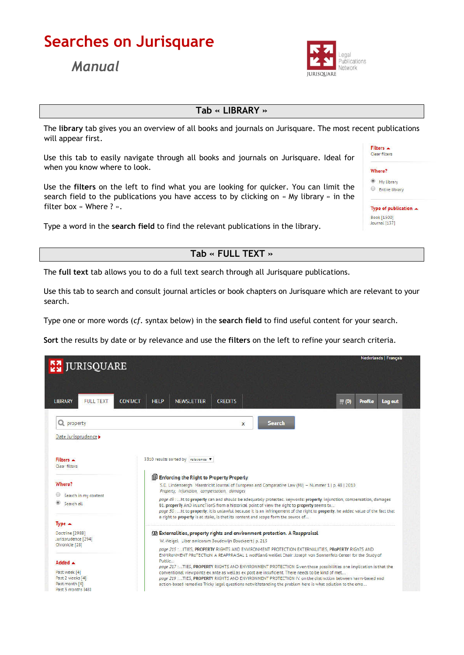# Searches on Jurisquare

## *Manual*



## Tab « LIBRARY »

The library tab gives you an overview of all books and journals on Jurisquare. The most recent publications will appear first.

Use this tab to easily navigate through all books and journals on Jurisquare. Ideal for when you know where to look.

Use the filters on the left to find what you are looking for quicker. You can limit the search field to the publications you have access to by clicking on « My library » in the filter box « Where ? ».

Type a word in the search field to find the relevant publications in the library.

#### Filters  $\triangle$ Clear filters

| е |  |
|---|--|
|   |  |

<sup>1</sup> My library Entire library

Type of publication  $\triangle$ Book [1500]<br>Journal [137]

## Tab « FULL TEXT »

The full text tab allows you to do a full text search through all Jurisquare publications.

Use this tab to search and consult journal articles or book chapters on Jurisquare which are relevant to your search.

Type one or more words (*cf*. syntax below) in the search field to find useful content for your search.

Sort the results by date or by relevance and use the filters on the left to refine your search criteria.

| <b>Nederlands   Français</b><br><b>EX JURISQUARE</b>                                 |                                                                                                                                                                                                                                                                                                                                                                                                                                                                                                                                                                          |  |
|--------------------------------------------------------------------------------------|--------------------------------------------------------------------------------------------------------------------------------------------------------------------------------------------------------------------------------------------------------------------------------------------------------------------------------------------------------------------------------------------------------------------------------------------------------------------------------------------------------------------------------------------------------------------------|--|
| <b>LIBRARY</b><br>FULL TEXT                                                          | <b>NEWSLETTER</b><br><b>CONTACT</b><br><b>HELP</b><br><b>CREDITS</b><br>$\not\equiv$ (0)<br><b>Profile</b><br>Log out                                                                                                                                                                                                                                                                                                                                                                                                                                                    |  |
| Q property                                                                           | <b>Search</b><br>$\times$                                                                                                                                                                                                                                                                                                                                                                                                                                                                                                                                                |  |
| Date Jurisprudence >                                                                 |                                                                                                                                                                                                                                                                                                                                                                                                                                                                                                                                                                          |  |
| Filters A<br>Clear filters                                                           | 3310 results sorted by relevance ▼                                                                                                                                                                                                                                                                                                                                                                                                                                                                                                                                       |  |
| Where?<br>Search in my content<br>Search all                                         | <b>Enforcing the Right to Property Properly</b><br>S.D. Lindenbergh Maastricht Journal of European and Comparative Law (MJ) - Nummer 1   p. 48   2010<br>Property, injunction, compensation, damages<br>page 49 : ht to property can and should be adequately protected. keywords: property injunction, compensation, damages<br>§1. properTy AnD injuncTionS from a historical point of view the right to property seems to<br>page 50 at to property: it is unlawful because it is an infringement of the right to property, he added value of the fact that           |  |
| Type ▲                                                                               | a right to property is at stake, is that its content and scope form the source of                                                                                                                                                                                                                                                                                                                                                                                                                                                                                        |  |
| Doctrine [2988]<br>Jurisprudence [294]<br>Chronicle [28]                             | (D) Externalities, property rights and environment protection. A Reappraisal<br>W. Weigel Liber amicorum Boudewijn Bouckaert   p. 215<br>page 215 : ITIES, PROPERTY RIGHTS AND ENVIRONMENT PROTECTION EXTERNALITIES, PROPERTY RIGhTS AND                                                                                                                                                                                                                                                                                                                                 |  |
| Added A<br>Past week [4]<br>Past 2 weeks [4]<br>Past month [4]<br>Past 3 months [48] | ENVIRONMENT PROTECTION. A REAPPRAISAL 1 wolfGanG weiGel Chair: Joseph von Sonnenfels Center for the Study of<br>Public<br>page 217 :TIES, PROPERTY RIGHTS AND ENVIRONMENT PROTECTION Given those possibilities one implication is that the<br>conventional viewpoints ex ante as well as ex post are insuficient. There needs to be kind of met<br>page 219 :TIES, PROPERTY RIGHTS AND ENVIRONMENT PROTECTION IV. on the distinction between harm-based and<br>action-based remedies Tricky legal questions notwithstanding the problem here is what solution to the eme |  |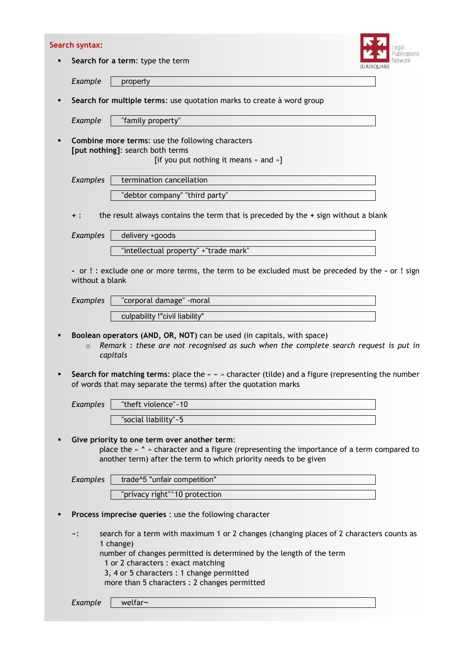|   | Search syntax:  |                                                                                                                                                                                                                                                                                                 |
|---|-----------------|-------------------------------------------------------------------------------------------------------------------------------------------------------------------------------------------------------------------------------------------------------------------------------------------------|
| п |                 | cations<br>Search for a term: type the term<br><b>JURISQUARE</b>                                                                                                                                                                                                                                |
|   | Example         | property                                                                                                                                                                                                                                                                                        |
| ٠ |                 | Search for multiple terms: use quotation marks to create à word group                                                                                                                                                                                                                           |
|   | Example         | "family property"                                                                                                                                                                                                                                                                               |
| ٠ |                 | Combine more terms: use the following characters<br>[put nothing]: search both terms<br>[if you put nothing it means « and »]                                                                                                                                                                   |
|   | Examples        | termination cancellation                                                                                                                                                                                                                                                                        |
|   |                 | "debtor company" "third party"                                                                                                                                                                                                                                                                  |
|   | $+$ :           | the result always contains the term that is preceded by the + sign without a blank                                                                                                                                                                                                              |
|   | Examples        | delivery +goods                                                                                                                                                                                                                                                                                 |
|   |                 | "intellectual property" +"trade mark"                                                                                                                                                                                                                                                           |
|   | without a blank | - or !: exclude one or more terms, the term to be excluded must be preceded by the - or ! sign                                                                                                                                                                                                  |
|   | <b>Examples</b> | "corporal damage" - moral                                                                                                                                                                                                                                                                       |
|   |                 | culpability !"civil liability"                                                                                                                                                                                                                                                                  |
| ٠ | $\circ$         | Boolean operators (AND, OR, NOT) can be used (in capitals, with space)<br>Remark : these are not recognised as such when the complete search request is put in<br>capitals<br>Search for matching terms: place the $\alpha \sim \infty$ character (tilde) and a figure (representing the number |
|   |                 | of words that may separate the terms) after the quotation marks                                                                                                                                                                                                                                 |
|   | <b>Examples</b> | "theft violence"~10                                                                                                                                                                                                                                                                             |
|   |                 | "social liability"~5                                                                                                                                                                                                                                                                            |
| ٠ |                 | Give priority to one term over another term:<br>place the « ^ » character and a figure (representing the importance of a term compared to<br>another term) after the term to which priority needs to be given                                                                                   |
|   | <b>Examples</b> | trade^5 "unfair competition"                                                                                                                                                                                                                                                                    |
|   |                 | "privacy right"^10 protection                                                                                                                                                                                                                                                                   |
| ٠ |                 | Process imprecise queries : use the following character                                                                                                                                                                                                                                         |
|   | ∼∶              | search for a term with maximum 1 or 2 changes (changing places of 2 characters counts as<br>1 change)<br>number of changes permitted is determined by the length of the term<br>1 or 2 characters : exact matching                                                                              |
|   |                 | 3, 4 or 5 characters : 1 change permitted<br>more than 5 characters : 2 changes permitted                                                                                                                                                                                                       |